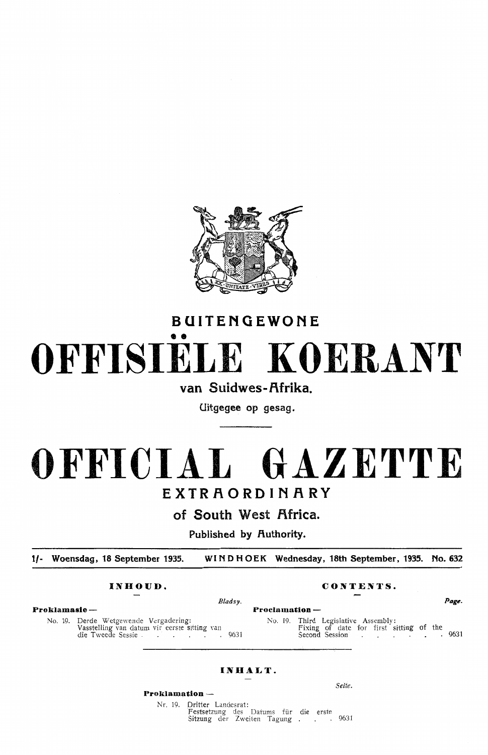

# **BUITENGEWONE**  •• **OFFISIELE KOERANT**

# van Suidwes-Afrika.

**Uitgegee op gesag.** 

# **OFFICIAL GAZETTE EXTRAORDINARY**

**of South West Africa.** 

**Published by Authority.** 

**t/- Woensdag, 18 September 1935. WINDHOEK Wednesday, 18th September, 1935. No. 632** 

### **INHOUD. CONTENTS.**

**Proklamasie - Proclamation** -

No. 19. Derde Wetgewende Vergadering Vasstelling van datum vir eerste sitting yan die Tweede Sessie . . . . . . . 9631

*Bladsy. Page.* 

No. 19. Third Legislative Assembly: Fixing of date for first sitting of the Second Session **1888 19631** 

## **INHALT.**

*Seite.* 

**Proklamation** - Nr. 19. Dritter Landesrat: Festsetzung des Datums für die erste

Sitzung der Zweiten Tagung . . . 9631